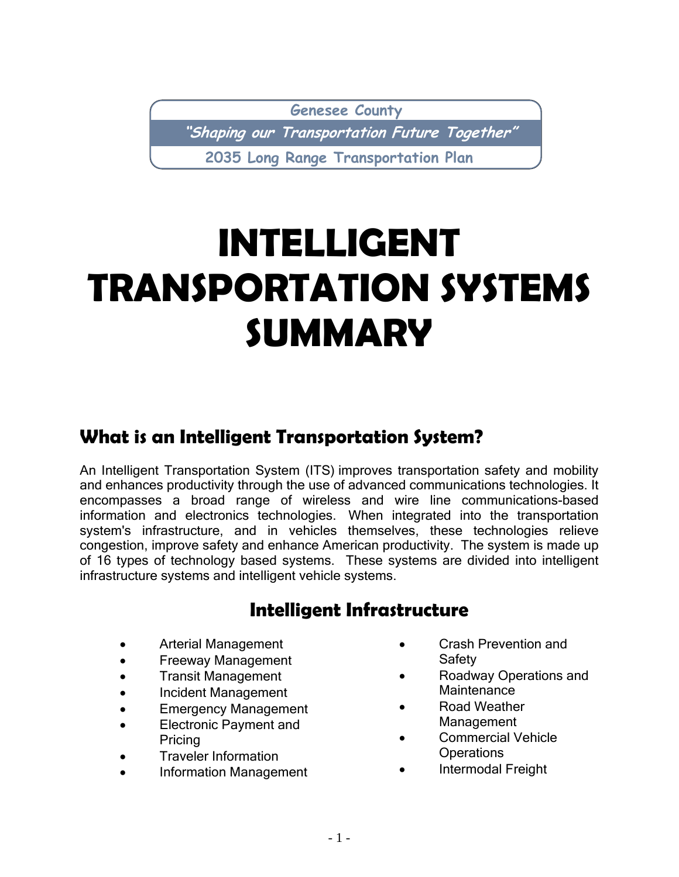**Genesee County**

**"Shaping our Transportation Future Together"**

**2035 Long Range Transportation Plan**

# **INTELLIGENT TRANSPORTATION SYSTEMS SUMMARY**

# **What is an Intelligent Transportation System?**

An Intelligent Transportation System (ITS) improves transportation safety and mobility and enhances productivity through the use of advanced communications technologies. It encompasses a broad range of wireless and wire line communications-based information and electronics technologies. When integrated into the transportation system's infrastructure, and in vehicles themselves, these technologies relieve congestion, improve safety and enhance American productivity. The system is made up of 16 types of technology based systems. These systems are divided into intelligent infrastructure systems and intelligent vehicle systems.

# **Intelligent Infrastructure**

- Arterial Management
- Freeway Management
- Transit Management
- Incident Management
- Emergency Management
- Electronic Payment and Pricing
- Traveler Information
- Information Management
- Crash Prevention and **Safety**
- Roadway Operations and **Maintenance**
- Road Weather Management
- Commercial Vehicle **Operations**
- Intermodal Freight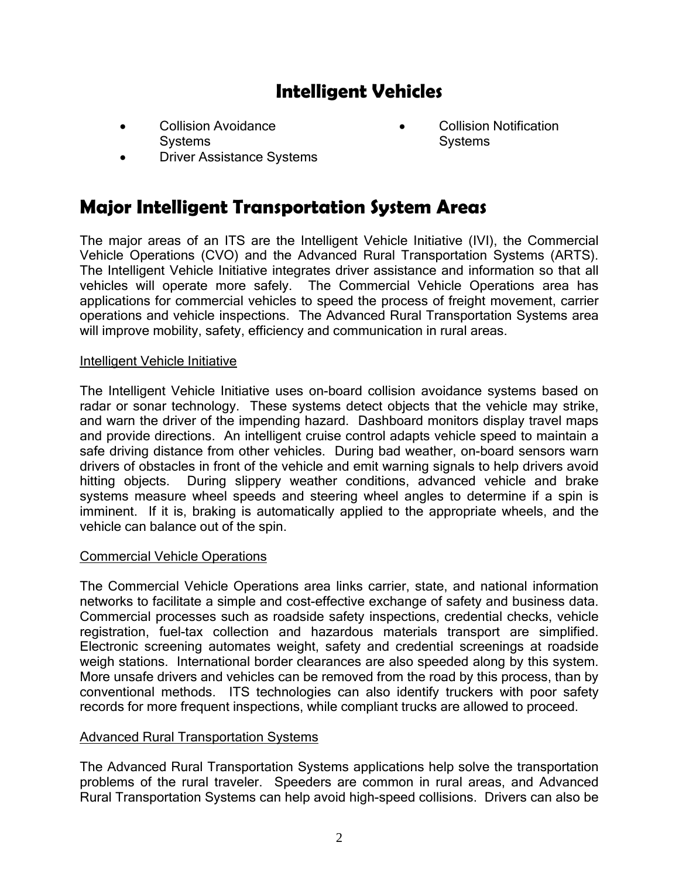# **Intelligent Vehicles**

- Collision Avoidance **Systems** 
	- Driver Assistance Systems
- Collision Notification **Systems**

### **Major Intelligent Transportation System Areas**

The major areas of an ITS are the Intelligent Vehicle Initiative (IVI), the Commercial Vehicle Operations (CVO) and the Advanced Rural Transportation Systems (ARTS). The Intelligent Vehicle Initiative integrates driver assistance and information so that all vehicles will operate more safely. The Commercial Vehicle Operations area has applications for commercial vehicles to speed the process of freight movement, carrier operations and vehicle inspections. The Advanced Rural Transportation Systems area will improve mobility, safety, efficiency and communication in rural areas.

#### Intelligent Vehicle Initiative

The Intelligent Vehicle Initiative uses on-board collision avoidance systems based on radar or sonar technology. These systems detect objects that the vehicle may strike, and warn the driver of the impending hazard. Dashboard monitors display travel maps and provide directions. An intelligent cruise control adapts vehicle speed to maintain a safe driving distance from other vehicles. During bad weather, on-board sensors warn drivers of obstacles in front of the vehicle and emit warning signals to help drivers avoid hitting objects. During slippery weather conditions, advanced vehicle and brake systems measure wheel speeds and steering wheel angles to determine if a spin is imminent. If it is, braking is automatically applied to the appropriate wheels, and the vehicle can balance out of the spin.

#### Commercial Vehicle Operations

The Commercial Vehicle Operations area links carrier, state, and national information networks to facilitate a simple and cost-effective exchange of safety and business data. Commercial processes such as roadside safety inspections, credential checks, vehicle registration, fuel-tax collection and hazardous materials transport are simplified. Electronic screening automates weight, safety and credential screenings at roadside weigh stations. International border clearances are also speeded along by this system. More unsafe drivers and vehicles can be removed from the road by this process, than by conventional methods. ITS technologies can also identify truckers with poor safety records for more frequent inspections, while compliant trucks are allowed to proceed.

#### Advanced Rural Transportation Systems

The Advanced Rural Transportation Systems applications help solve the transportation problems of the rural traveler. Speeders are common in rural areas, and Advanced Rural Transportation Systems can help avoid high-speed collisions. Drivers can also be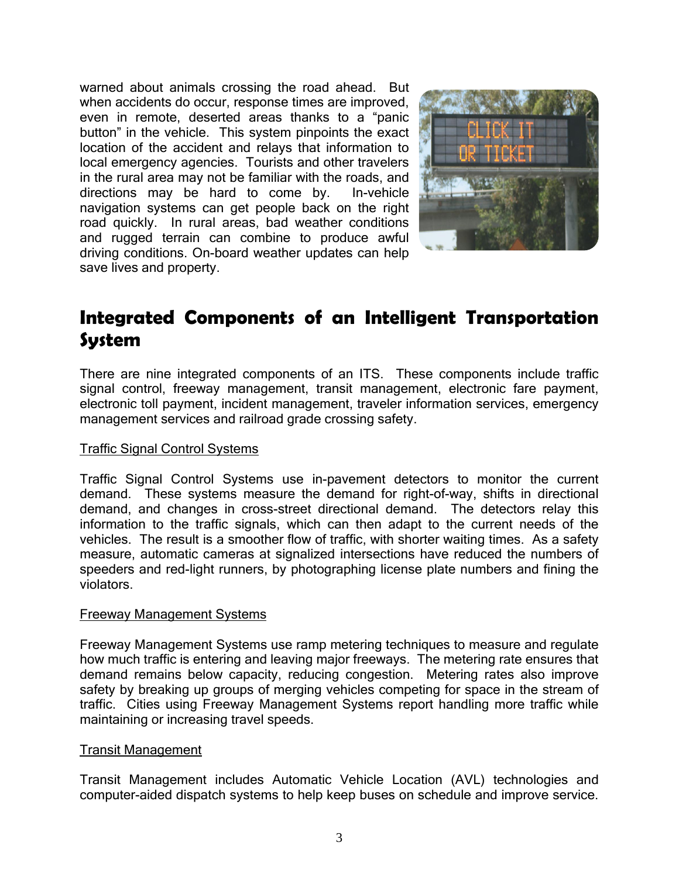warned about animals crossing the road ahead. But when accidents do occur, response times are improved, even in remote, deserted areas thanks to a "panic button" in the vehicle. This system pinpoints the exact location of the accident and relays that information to local emergency agencies. Tourists and other travelers in the rural area may not be familiar with the roads, and directions may be hard to come by. In-vehicle navigation systems can get people back on the right road quickly. In rural areas, bad weather conditions and rugged terrain can combine to produce awful driving conditions. On-board weather updates can help save lives and property.



### **Integrated Components of an Intelligent Transportation System**

There are nine integrated components of an ITS. These components include traffic signal control, freeway management, transit management, electronic fare payment, electronic toll payment, incident management, traveler information services, emergency management services and railroad grade crossing safety.

#### Traffic Signal Control Systems

Traffic Signal Control Systems use in-pavement detectors to monitor the current demand. These systems measure the demand for right-of-way, shifts in directional demand, and changes in cross-street directional demand. The detectors relay this information to the traffic signals, which can then adapt to the current needs of the vehicles. The result is a smoother flow of traffic, with shorter waiting times. As a safety measure, automatic cameras at signalized intersections have reduced the numbers of speeders and red-light runners, by photographing license plate numbers and fining the violators.

#### Freeway Management Systems

Freeway Management Systems use ramp metering techniques to measure and regulate how much traffic is entering and leaving major freeways. The metering rate ensures that demand remains below capacity, reducing congestion. Metering rates also improve safety by breaking up groups of merging vehicles competing for space in the stream of traffic. Cities using Freeway Management Systems report handling more traffic while maintaining or increasing travel speeds.

#### Transit Management

Transit Management includes Automatic Vehicle Location (AVL) technologies and computer-aided dispatch systems to help keep buses on schedule and improve service.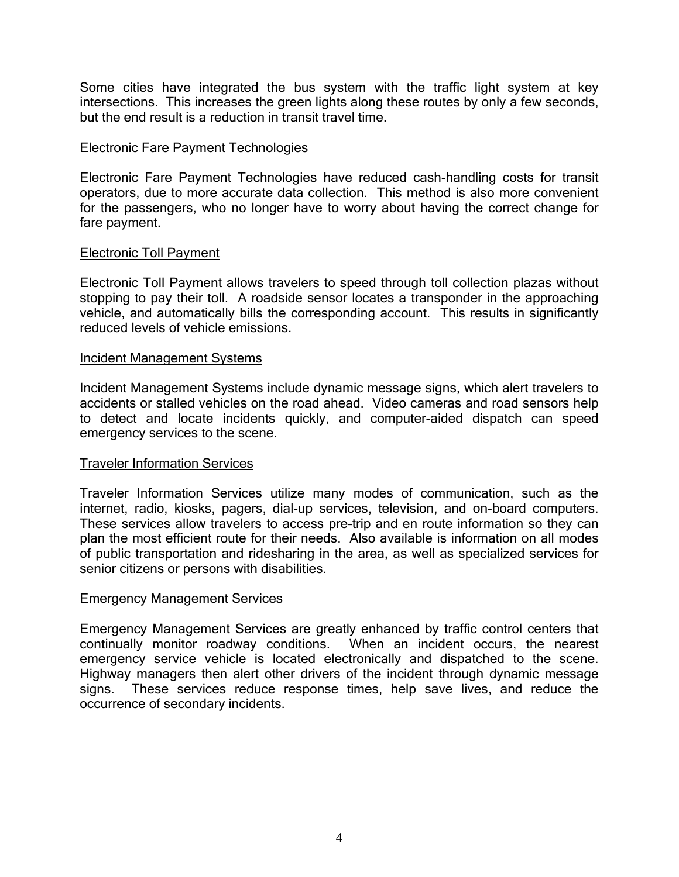Some cities have integrated the bus system with the traffic light system at key intersections. This increases the green lights along these routes by only a few seconds, but the end result is a reduction in transit travel time.

#### Electronic Fare Payment Technologies

Electronic Fare Payment Technologies have reduced cash-handling costs for transit operators, due to more accurate data collection. This method is also more convenient for the passengers, who no longer have to worry about having the correct change for fare payment.

#### Electronic Toll Payment

Electronic Toll Payment allows travelers to speed through toll collection plazas without stopping to pay their toll. A roadside sensor locates a transponder in the approaching vehicle, and automatically bills the corresponding account. This results in significantly reduced levels of vehicle emissions.

#### Incident Management Systems

Incident Management Systems include dynamic message signs, which alert travelers to accidents or stalled vehicles on the road ahead. Video cameras and road sensors help to detect and locate incidents quickly, and computer-aided dispatch can speed emergency services to the scene.

#### Traveler Information Services

Traveler Information Services utilize many modes of communication, such as the internet, radio, kiosks, pagers, dial-up services, television, and on-board computers. These services allow travelers to access pre-trip and en route information so they can plan the most efficient route for their needs. Also available is information on all modes of public transportation and ridesharing in the area, as well as specialized services for senior citizens or persons with disabilities.

#### Emergency Management Services

Emergency Management Services are greatly enhanced by traffic control centers that continually monitor roadway conditions. When an incident occurs, the nearest emergency service vehicle is located electronically and dispatched to the scene. Highway managers then alert other drivers of the incident through dynamic message signs. These services reduce response times, help save lives, and reduce the occurrence of secondary incidents.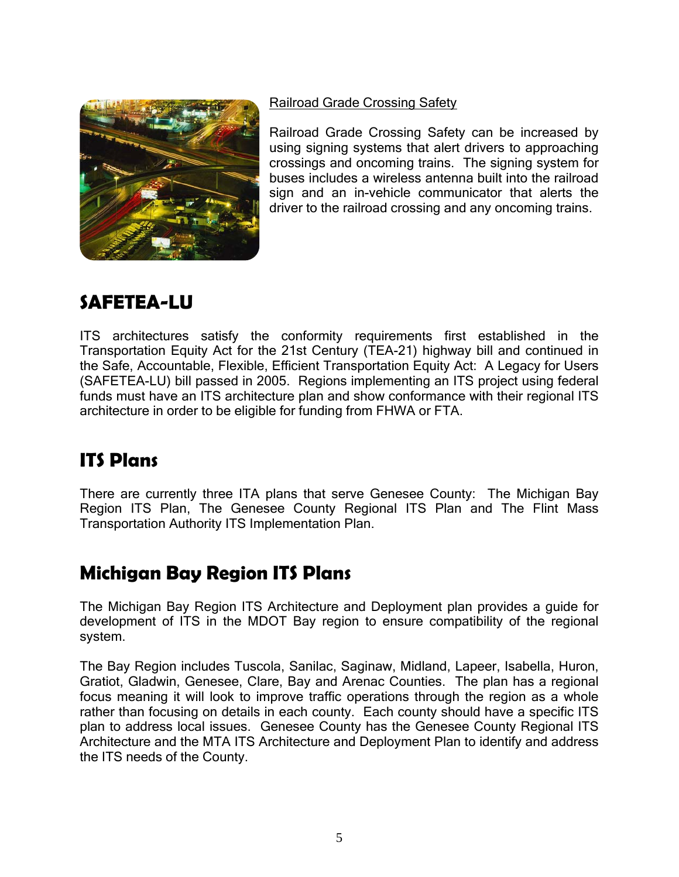

Railroad Grade Crossing Safety

Railroad Grade Crossing Safety can be increased by using signing systems that alert drivers to approaching crossings and oncoming trains. The signing system for buses includes a wireless antenna built into the railroad sign and an in-vehicle communicator that alerts the driver to the railroad crossing and any oncoming trains.

# **SAFETEA-LU**

ITS architectures satisfy the conformity requirements first established in the Transportation Equity Act for the 21st Century (TEA-21) highway bill and continued in the Safe, Accountable, Flexible, Efficient Transportation Equity Act: A Legacy for Users (SAFETEA-LU) bill passed in 2005. Regions implementing an ITS project using federal funds must have an ITS architecture plan and show conformance with their regional ITS architecture in order to be eligible for funding from FHWA or FTA.

# **ITS Plans**

There are currently three ITA plans that serve Genesee County: The Michigan Bay Region ITS Plan, The Genesee County Regional ITS Plan and The Flint Mass Transportation Authority ITS Implementation Plan.

# **Michigan Bay Region ITS Plans**

The Michigan Bay Region ITS Architecture and Deployment plan provides a guide for development of ITS in the MDOT Bay region to ensure compatibility of the regional system.

The Bay Region includes Tuscola, Sanilac, Saginaw, Midland, Lapeer, Isabella, Huron, Gratiot, Gladwin, Genesee, Clare, Bay and Arenac Counties. The plan has a regional focus meaning it will look to improve traffic operations through the region as a whole rather than focusing on details in each county. Each county should have a specific ITS plan to address local issues. Genesee County has the Genesee County Regional ITS Architecture and the MTA ITS Architecture and Deployment Plan to identify and address the ITS needs of the County.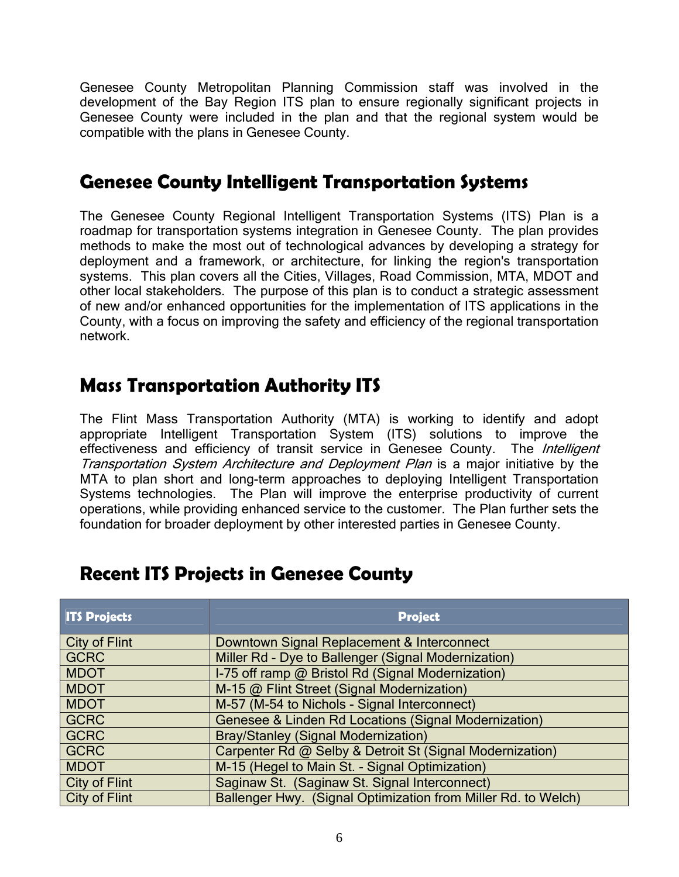Genesee County Metropolitan Planning Commission staff was involved in the development of the Bay Region ITS plan to ensure regionally significant projects in Genesee County were included in the plan and that the regional system would be compatible with the plans in Genesee County.

### **Genesee County Intelligent Transportation Systems**

The Genesee County Regional Intelligent Transportation Systems (ITS) Plan is a roadmap for transportation systems integration in Genesee County. The plan provides methods to make the most out of technological advances by developing a strategy for deployment and a framework, or architecture, for linking the region's transportation systems. This plan covers all the Cities, Villages, Road Commission, MTA, MDOT and other local stakeholders. The purpose of this plan is to conduct a strategic assessment of new and/or enhanced opportunities for the implementation of ITS applications in the County, with a focus on improving the safety and efficiency of the regional transportation network.

### **Mass Transportation Authority ITS**

The Flint Mass Transportation Authority (MTA) is working to identify and adopt appropriate Intelligent Transportation System (ITS) solutions to improve the effectiveness and efficiency of transit service in Genesee County. The *Intelligent* Transportation System Architecture and Deployment Plan is a major initiative by the MTA to plan short and long-term approaches to deploying Intelligent Transportation Systems technologies. The Plan will improve the enterprise productivity of current operations, while providing enhanced service to the customer. The Plan further sets the foundation for broader deployment by other interested parties in Genesee County.

| <b>ITS Projects</b>  | <b>Project</b>                                                |
|----------------------|---------------------------------------------------------------|
| <b>City of Flint</b> | Downtown Signal Replacement & Interconnect                    |
| <b>GCRC</b>          | Miller Rd - Dye to Ballenger (Signal Modernization)           |
| <b>MDOT</b>          | I-75 off ramp @ Bristol Rd (Signal Modernization)             |
| <b>MDOT</b>          | M-15 @ Flint Street (Signal Modernization)                    |
| <b>MDOT</b>          | M-57 (M-54 to Nichols - Signal Interconnect)                  |
| <b>GCRC</b>          | Genesee & Linden Rd Locations (Signal Modernization)          |
| <b>GCRC</b>          | <b>Bray/Stanley (Signal Modernization)</b>                    |
| <b>GCRC</b>          | Carpenter Rd @ Selby & Detroit St (Signal Modernization)      |
| <b>MDOT</b>          | M-15 (Hegel to Main St. - Signal Optimization)                |
| <b>City of Flint</b> | Saginaw St. (Saginaw St. Signal Interconnect)                 |
| <b>City of Flint</b> | Ballenger Hwy. (Signal Optimization from Miller Rd. to Welch) |

### **Recent ITS Projects in Genesee County**